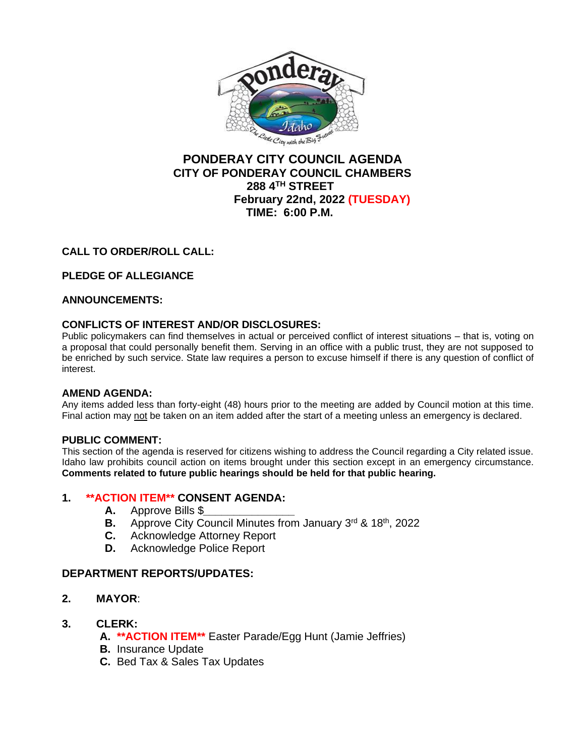

# **PONDERAY CITY COUNCIL AGENDA CITY OF PONDERAY COUNCIL CHAMBERS 288 4TH STREET February 22nd, 2022 (TUESDAY) TIME: 6:00 P.M.**

# **CALL TO ORDER/ROLL CALL:**

# **PLEDGE OF ALLEGIANCE**

### **ANNOUNCEMENTS:**

### **CONFLICTS OF INTEREST AND/OR DISCLOSURES:**

Public policymakers can find themselves in actual or perceived conflict of interest situations – that is, voting on a proposal that could personally benefit them. Serving in an office with a public trust, they are not supposed to be enriched by such service. State law requires a person to excuse himself if there is any question of conflict of interest.

### **AMEND AGENDA:**

Any items added less than forty-eight (48) hours prior to the meeting are added by Council motion at this time. Final action may not be taken on an item added after the start of a meeting unless an emergency is declared.

### **PUBLIC COMMENT:**

This section of the agenda is reserved for citizens wishing to address the Council regarding a City related issue. Idaho law prohibits council action on items brought under this section except in an emergency circumstance. **Comments related to future public hearings should be held for that public hearing.**

### **1. \*\*ACTION ITEM\*\* CONSENT AGENDA:**

- **A.** Approve Bills \$*\_\_\_\_\_\_\_\_\_\_\_\_\_\_\_*
- **B.** Approve City Council Minutes from January 3<sup>rd</sup> & 18<sup>th</sup>, 2022
- **C.** Acknowledge Attorney Report
- **D.** Acknowledge Police Report

### **DEPARTMENT REPORTS/UPDATES:**

- **2. MAYOR**:
- **3. CLERK:**
	- **A. \*\*ACTION ITEM\*\*** Easter Parade/Egg Hunt (Jamie Jeffries)
	- **B.** Insurance Update
	- **C.** Bed Tax & Sales Tax Updates